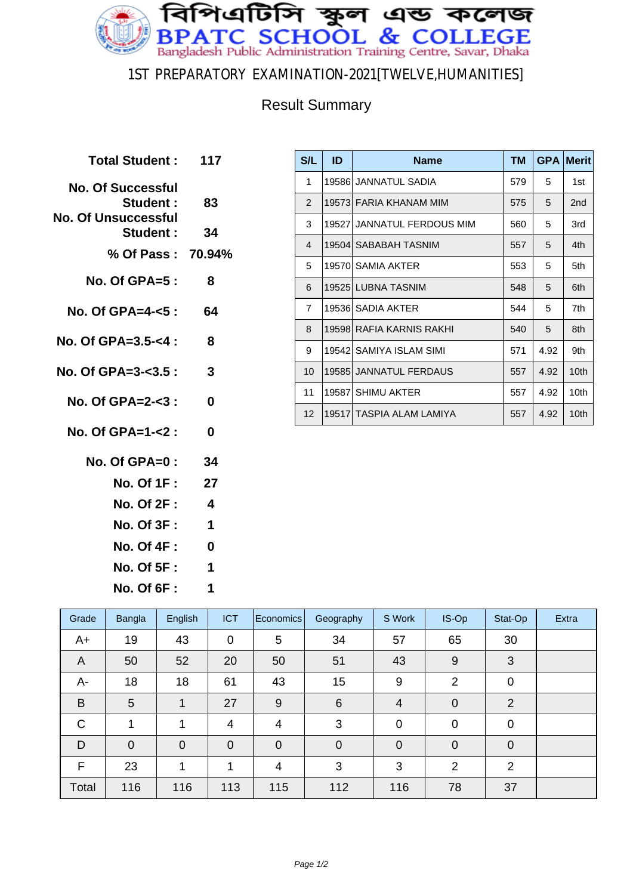

#### 1ST PREPARATORY EXAMINATION-2021[TWELVE,HUMANITIES]

### Result Summary

| Total Student: 117                                                  |                  |
|---------------------------------------------------------------------|------------------|
| <b>No. Of Successful</b><br><b>Student :</b><br>No. Of Unsuccessful | 83               |
| <b>Student :</b>                                                    | 34               |
| % Of Pass: 70.94%                                                   |                  |
| $No. Of GPA = 5:$                                                   | 8                |
| No. Of GPA=4- $< 5:$                                                | - 64             |
| No. Of GPA= $3.5 - 4$ :                                             | 8                |
| No. Of GPA=3- $<$ 3.5 :                                             | 3                |
| No. Of GPA=2- $<$ 3 :                                               | 0                |
| No. Of GPA=1-<2 :                                                   | 0                |
| No. Of $GPA=0$ : 34                                                 |                  |
| No. Of 1F : <b>No. 1</b>                                            | 27               |
| <b>No. Of 2F :</b>                                                  | $\boldsymbol{4}$ |
| <b>No. Of 3F :</b>                                                  | 1                |
| No. Of 4F :                                                         | 0                |

**No. Of 5F : 1 No. Of 6F : 1**

| S/L             | ID | <b>Name</b>                | <b>TM</b> | <b>GPA</b> | <b>Merit</b>    |
|-----------------|----|----------------------------|-----------|------------|-----------------|
| 1               |    | 19586 JANNATUL SADIA       | 579       | 5          | 1st             |
| $\overline{2}$  |    | 19573  FARIA KHANAM MIM    | 575       | 5          | 2 <sub>nd</sub> |
| 3               |    | 19527 JANNATUL FERDOUS MIM | 560       | 5          | 3rd             |
| 4               |    | 19504  SABABAH TASNIM      | 557       | 5          | 4th             |
| 5               |    | 19570 SAMIA AKTER          | 553       | 5          | 5th             |
| 6               |    | 19525 LUBNA TASNIM         | 548       | 5          | 6th             |
| $\overline{7}$  |    | 19536 SADIA AKTER          | 544       | 5          | 7th             |
| 8               |    | 19598 RAFIA KARNIS RAKHI   | 540       | 5          | 8th             |
| 9               |    | 19542 SAMIYA ISLAM SIMI    | 571       | 4.92       | 9th             |
| 10 <sup>1</sup> |    | 19585  JANNATUL FERDAUS    | 557       | 4.92       | 10th            |
| 11              |    | 19587 SHIMU AKTER          | 557       | 4.92       | 10th            |
| 12 <sup>2</sup> |    | 19517 TASPIA ALAM LAMIYA   | 557       | 4.92       | 10th            |

| Grade          | Bangla      | English        | <b>ICT</b>     | Economics   | Geography      | S Work         | IS-Op          | Stat-Op        | Extra |
|----------------|-------------|----------------|----------------|-------------|----------------|----------------|----------------|----------------|-------|
| A+             | 19          | 43             | $\mathbf 0$    | 5           | 34             | 57             | 65             | 30             |       |
| $\overline{A}$ | 50          | 52             | 20             | 50          | 51             | 43             | 9              | 3              |       |
| A-             | 18          | 18             | 61             | 43          | 15             | 9              | 2              | 0              |       |
| B              | 5           | 1              | 27             | 9           | 6              | 4              | $\mathbf 0$    | 2              |       |
| $\mathsf{C}$   | 1           | 1              | 4              | 4           | 3              | $\mathbf 0$    | $\mathbf 0$    | $\mathbf 0$    |       |
| D              | $\mathbf 0$ | $\overline{0}$ | $\overline{0}$ | $\mathbf 0$ | $\overline{0}$ | $\overline{0}$ | $\overline{0}$ | $\overline{0}$ |       |
| F              | 23          | 1              | 4              | 4           | 3              | 3              | $\overline{2}$ | 2              |       |
| Total          | 116         | 116            | 113            | 115         | 112            | 116            | 78             | 37             |       |